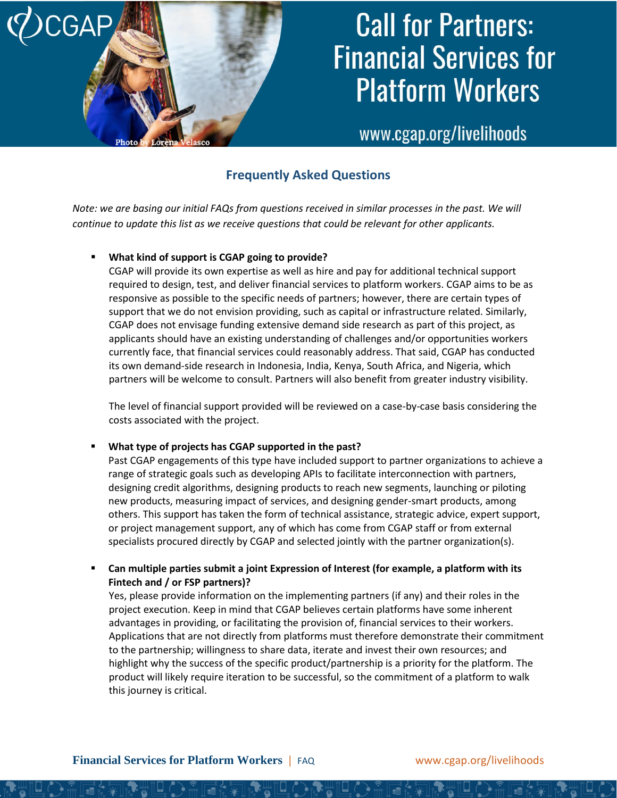

### **Call for Partners: Financial Services for Platform Workers**

www.cgap.org/livelihoods

### **Frequently Asked Questions**

*Note: we are basing our initial FAQs from questions received in similar processes in the past. We will continue to update this list as we receive questions that could be relevant for other applicants.* 

#### **What kind of support is CGAP going to provide?**

CGAP will provide its own expertise as well as hire and pay for additional technical support required to design, test, and deliver financial services to platform workers. CGAP aims to be as responsive as possible to the specific needs of partners; however, there are certain types of support that we do not envision providing, such as capital or infrastructure related. Similarly, CGAP does not envisage funding extensive demand side research as part of this project, as applicants should have an existing understanding of challenges and/or opportunities workers currently face, that financial services could reasonably address. That said, CGAP has conducted its own demand-side research in Indonesia, India, Kenya, South Africa, and Nigeria, which partners will be welcome to consult. Partners will also benefit from greater industry visibility.

The level of financial support provided will be reviewed on a case-by-case basis considering the costs associated with the project.

#### ▪ **What type of projects has CGAP supported in the past?**

Past CGAP engagements of this type have included support to partner organizations to achieve a range of strategic goals such as developing APIs to facilitate interconnection with partners, designing credit algorithms, designing products to reach new segments, launching or piloting new products, measuring impact of services, and designing gender-smart products, among others. This support has taken the form of technical assistance, strategic advice, expert support, or project management support, any of which has come from CGAP staff or from external specialists procured directly by CGAP and selected jointly with the partner organization(s).

▪ **Can multiple parties submit a joint Expression of Interest (for example, a platform with its Fintech and / or FSP partners)?**

Yes, please provide information on the implementing partners (if any) and their roles in the project execution. Keep in mind that CGAP believes certain platforms have some inherent advantages in providing, or facilitating the provision of, financial services to their workers. Applications that are not directly from platforms must therefore demonstrate their commitment to the partnership; willingness to share data, iterate and invest their own resources; and highlight why the success of the specific product/partnership is a priority for the platform. The product will likely require iteration to be successful, so the commitment of a platform to walk this journey is critical.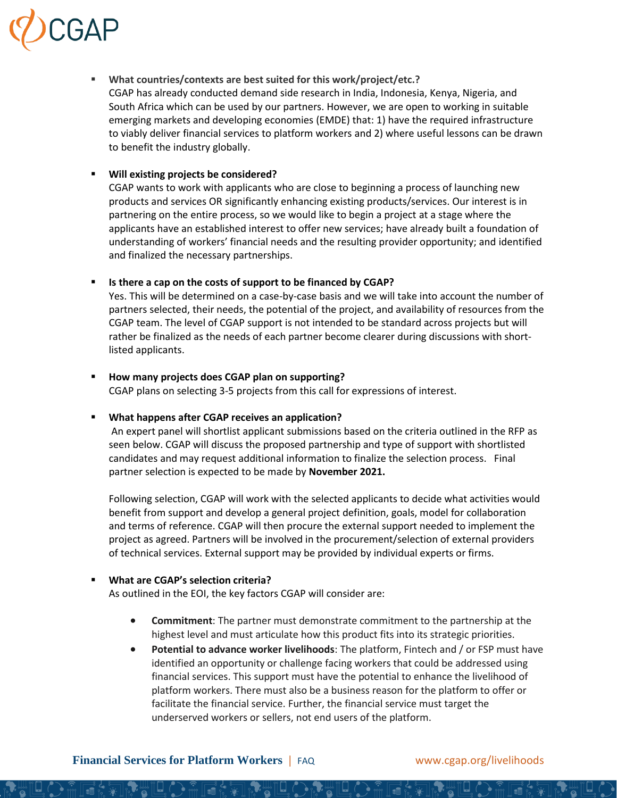## CGAP

▪ **What countries/contexts are best suited for this work/project/etc.?** CGAP has already conducted demand side research in India, Indonesia, Kenya, Nigeria, and South Africa which can be used by our partners. However, we are open to working in suitable emerging markets and developing economies (EMDE) that: 1) have the required infrastructure to viably deliver financial services to platform workers and 2) where useful lessons can be drawn to benefit the industry globally.

#### **Will existing projects be considered?**

CGAP wants to work with applicants who are close to beginning a process of launching new products and services OR significantly enhancing existing products/services. Our interest is in partnering on the entire process, so we would like to begin a project at a stage where the applicants have an established interest to offer new services; have already built a foundation of understanding of workers' financial needs and the resulting provider opportunity; and identified and finalized the necessary partnerships.

#### ▪ **Is there a cap on the costs of support to be financed by CGAP?**

Yes. This will be determined on a case-by-case basis and we will take into account the number of partners selected, their needs, the potential of the project, and availability of resources from the CGAP team. The level of CGAP support is not intended to be standard across projects but will rather be finalized as the needs of each partner become clearer during discussions with shortlisted applicants.

#### ▪ **How many projects does CGAP plan on supporting?**

CGAP plans on selecting 3-5 projects from this call for expressions of interest.

#### ▪ **What happens after CGAP receives an application?**

An expert panel will shortlist applicant submissions based on the criteria outlined in the RFP as seen below. CGAP will discuss the proposed partnership and type of support with shortlisted candidates and may request additional information to finalize the selection process. Final partner selection is expected to be made by **November 2021.**

Following selection, CGAP will work with the selected applicants to decide what activities would benefit from support and develop a general project definition, goals, model for collaboration and terms of reference. CGAP will then procure the external support needed to implement the project as agreed. Partners will be involved in the procurement/selection of external providers of technical services. External support may be provided by individual experts or firms.

#### **What are CGAP's selection criteria?**

As outlined in the EOI, the key factors CGAP will consider are:

- **Commitment**: The partner must demonstrate commitment to the partnership at the highest level and must articulate how this product fits into its strategic priorities.
- **Potential to advance worker livelihoods**: The platform, Fintech and / or FSP must have identified an opportunity or challenge facing workers that could be addressed using financial services. This support must have the potential to enhance the livelihood of platform workers. There must also be a business reason for the platform to offer or facilitate the financial service. Further, the financial service must target the underserved workers or sellers, not end users of the platform.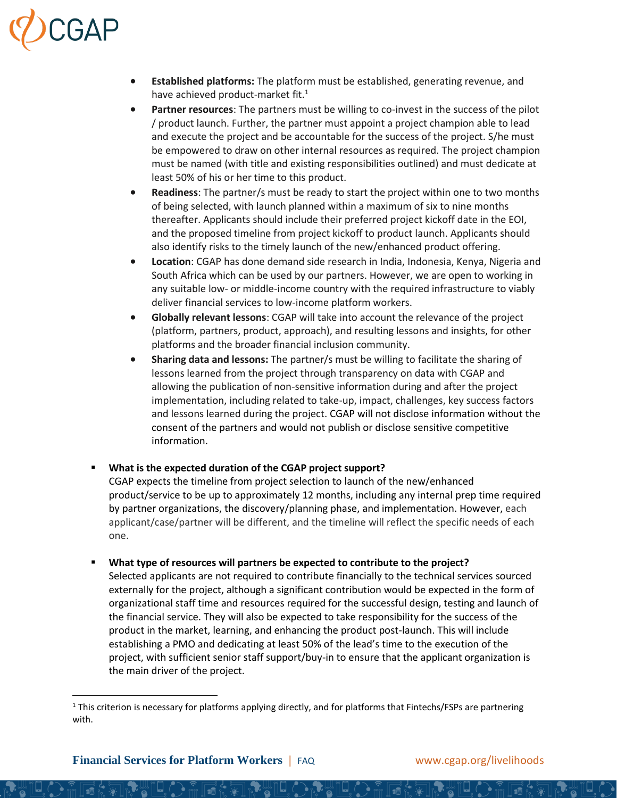# CGAP

- **Established platforms:** The platform must be established, generating revenue, and have achieved product-market fit.<sup>1</sup>
- **Partner resources**: The partners must be willing to co-invest in the success of the pilot / product launch. Further, the partner must appoint a project champion able to lead and execute the project and be accountable for the success of the project. S/he must be empowered to draw on other internal resources as required. The project champion must be named (with title and existing responsibilities outlined) and must dedicate at least 50% of his or her time to this product.
- **Readiness**: The partner/s must be ready to start the project within one to two months of being selected, with launch planned within a maximum of six to nine months thereafter. Applicants should include their preferred project kickoff date in the EOI, and the proposed timeline from project kickoff to product launch. Applicants should also identify risks to the timely launch of the new/enhanced product offering.
- **Location**: CGAP has done demand side research in India, Indonesia, Kenya, Nigeria and South Africa which can be used by our partners. However, we are open to working in any suitable low- or middle-income country with the required infrastructure to viably deliver financial services to low-income platform workers.
- **Globally relevant lessons**: CGAP will take into account the relevance of the project (platform, partners, product, approach), and resulting lessons and insights, for other platforms and the broader financial inclusion community.
- **Sharing data and lessons:** The partner/s must be willing to facilitate the sharing of lessons learned from the project through transparency on data with CGAP and allowing the publication of non-sensitive information during and after the project implementation, including related to take-up, impact, challenges, key success factors and lessons learned during the project. CGAP will not disclose information without the consent of the partners and would not publish or disclose sensitive competitive information.

#### ▪ **What is the expected duration of the CGAP project support?**

CGAP expects the timeline from project selection to launch of the new/enhanced product/service to be up to approximately 12 months, including any internal prep time required by partner organizations, the discovery/planning phase, and implementation. However, each applicant/case/partner will be different, and the timeline will reflect the specific needs of each one.

▪ **What type of resources will partners be expected to contribute to the project?**

Selected applicants are not required to contribute financially to the technical services sourced externally for the project, although a significant contribution would be expected in the form of organizational staff time and resources required for the successful design, testing and launch of the financial service. They will also be expected to take responsibility for the success of the product in the market, learning, and enhancing the product post-launch. This will include establishing a PMO and dedicating at least 50% of the lead's time to the execution of the project, with sufficient senior staff support/buy-in to ensure that the applicant organization is the main driver of the project.

 $1$  This criterion is necessary for platforms applying directly, and for platforms that Fintechs/FSPs are partnering with.